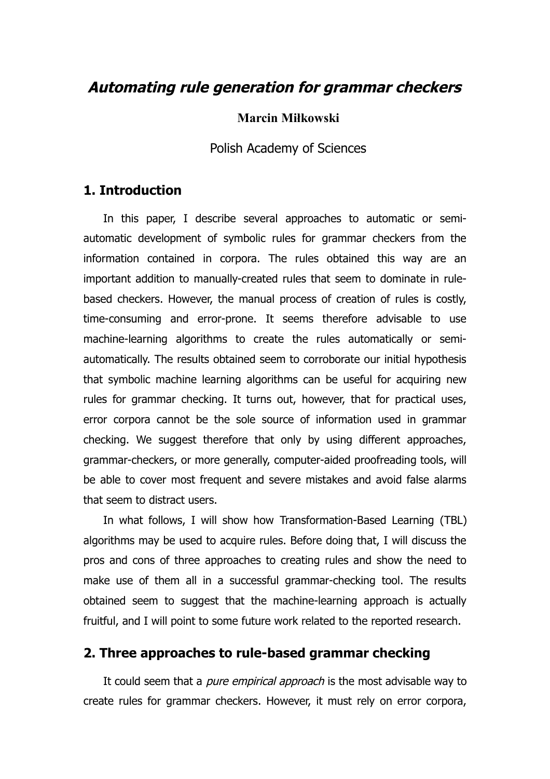# **Automating rule generation for grammar checkers**

#### **Marcin Miłkowski**

Polish Academy of Sciences

## **1. Introduction**

In this paper, I describe several approaches to automatic or semiautomatic development of symbolic rules for grammar checkers from the information contained in corpora. The rules obtained this way are an important addition to manually-created rules that seem to dominate in rulebased checkers. However, the manual process of creation of rules is costly, time-consuming and error-prone. It seems therefore advisable to use machine-learning algorithms to create the rules automatically or semiautomatically. The results obtained seem to corroborate our initial hypothesis that symbolic machine learning algorithms can be useful for acquiring new rules for grammar checking. It turns out, however, that for practical uses, error corpora cannot be the sole source of information used in grammar checking. We suggest therefore that only by using different approaches, grammar-checkers, or more generally, computer-aided proofreading tools, will be able to cover most frequent and severe mistakes and avoid false alarms that seem to distract users.

In what follows, I will show how Transformation-Based Learning (TBL) algorithms may be used to acquire rules. Before doing that, I will discuss the pros and cons of three approaches to creating rules and show the need to make use of them all in a successful grammar-checking tool. The results obtained seem to suggest that the machine-learning approach is actually fruitful, and I will point to some future work related to the reported research.

# **2. Three approaches to rule-based grammar checking**

It could seem that a *pure empirical approach* is the most advisable way to create rules for grammar checkers. However, it must rely on error corpora,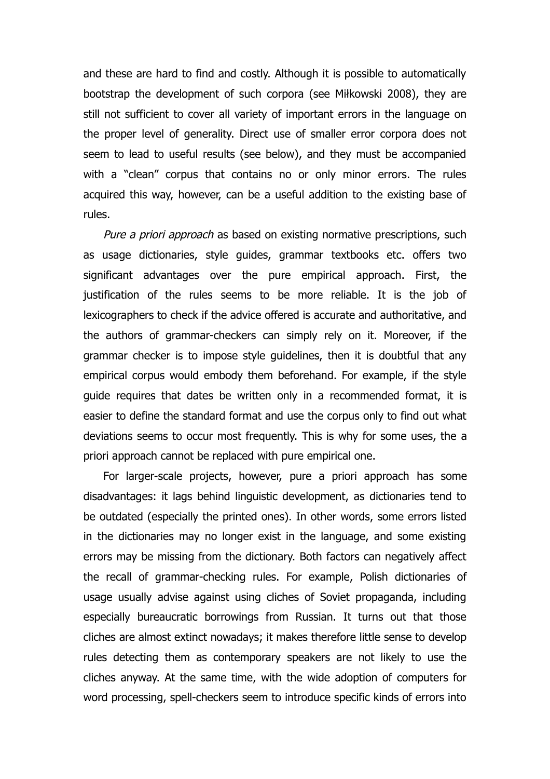and these are hard to find and costly. Although it is possible to automatically bootstrap the development of such corpora (see Miłkowski 2008), they are still not sufficient to cover all variety of important errors in the language on the proper level of generality. Direct use of smaller error corpora does not seem to lead to useful results (see below), and they must be accompanied with a "clean" corpus that contains no or only minor errors. The rules acquired this way, however, can be a useful addition to the existing base of rules.

Pure a priori approach as based on existing normative prescriptions, such as usage dictionaries, style guides, grammar textbooks etc. offers two significant advantages over the pure empirical approach. First, the justification of the rules seems to be more reliable. It is the job of lexicographers to check if the advice offered is accurate and authoritative, and the authors of grammar-checkers can simply rely on it. Moreover, if the grammar checker is to impose style guidelines, then it is doubtful that any empirical corpus would embody them beforehand. For example, if the style guide requires that dates be written only in a recommended format, it is easier to define the standard format and use the corpus only to find out what deviations seems to occur most frequently. This is why for some uses, the a priori approach cannot be replaced with pure empirical one.

For larger-scale projects, however, pure a priori approach has some disadvantages: it lags behind linguistic development, as dictionaries tend to be outdated (especially the printed ones). In other words, some errors listed in the dictionaries may no longer exist in the language, and some existing errors may be missing from the dictionary. Both factors can negatively affect the recall of grammar-checking rules. For example, Polish dictionaries of usage usually advise against using cliches of Soviet propaganda, including especially bureaucratic borrowings from Russian. It turns out that those cliches are almost extinct nowadays; it makes therefore little sense to develop rules detecting them as contemporary speakers are not likely to use the cliches anyway. At the same time, with the wide adoption of computers for word processing, spell-checkers seem to introduce specific kinds of errors into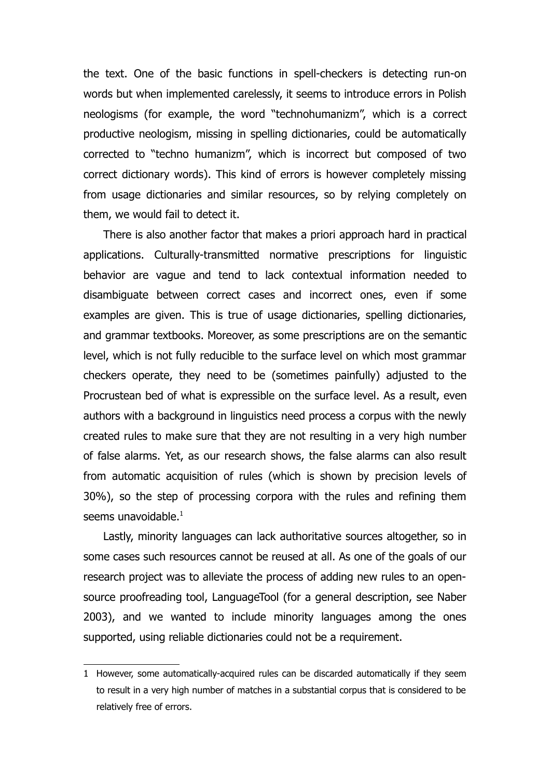the text. One of the basic functions in spell-checkers is detecting run-on words but when implemented carelessly, it seems to introduce errors in Polish neologisms (for example, the word "technohumanizm", which is a correct productive neologism, missing in spelling dictionaries, could be automatically corrected to "techno humanizm", which is incorrect but composed of two correct dictionary words). This kind of errors is however completely missing from usage dictionaries and similar resources, so by relying completely on them, we would fail to detect it.

There is also another factor that makes a priori approach hard in practical applications. Culturally-transmitted normative prescriptions for linguistic behavior are vague and tend to lack contextual information needed to disambiguate between correct cases and incorrect ones, even if some examples are given. This is true of usage dictionaries, spelling dictionaries, and grammar textbooks. Moreover, as some prescriptions are on the semantic level, which is not fully reducible to the surface level on which most grammar checkers operate, they need to be (sometimes painfully) adjusted to the Procrustean bed of what is expressible on the surface level. As a result, even authors with a background in linguistics need process a corpus with the newly created rules to make sure that they are not resulting in a very high number of false alarms. Yet, as our research shows, the false alarms can also result from automatic acquisition of rules (which is shown by precision levels of 30%), so the step of processing corpora with the rules and refining them seems unavoidable. $<sup>1</sup>$  $<sup>1</sup>$  $<sup>1</sup>$ </sup>

Lastly, minority languages can lack authoritative sources altogether, so in some cases such resources cannot be reused at all. As one of the goals of our research project was to alleviate the process of adding new rules to an opensource proofreading tool, LanguageTool (for a general description, see Naber 2003), and we wanted to include minority languages among the ones supported, using reliable dictionaries could not be a requirement.

<span id="page-2-0"></span><sup>1</sup> However, some automatically-acquired rules can be discarded automatically if they seem to result in a very high number of matches in a substantial corpus that is considered to be relatively free of errors.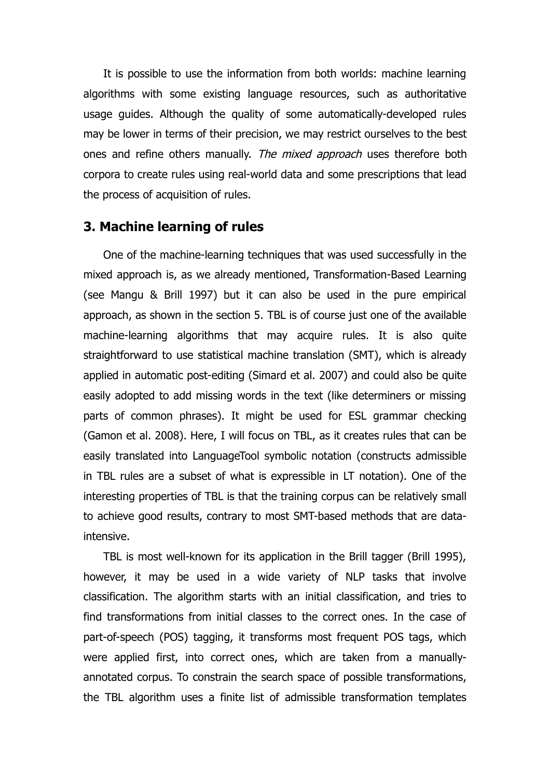It is possible to use the information from both worlds: machine learning algorithms with some existing language resources, such as authoritative usage guides. Although the quality of some automatically-developed rules may be lower in terms of their precision, we may restrict ourselves to the best ones and refine others manually. The mixed approach uses therefore both corpora to create rules using real-world data and some prescriptions that lead the process of acquisition of rules.

#### **3. Machine learning of rules**

One of the machine-learning techniques that was used successfully in the mixed approach is, as we already mentioned, Transformation-Based Learning (see Mangu & Brill 1997) but it can also be used in the pure empirical approach, as shown in the section 5. TBL is of course just one of the available machine-learning algorithms that may acquire rules. It is also quite straightforward to use statistical machine translation (SMT), which is already applied in automatic post-editing (Simard et al. 2007) and could also be quite easily adopted to add missing words in the text (like determiners or missing parts of common phrases). It might be used for ESL grammar checking (Gamon et al. 2008). Here, I will focus on TBL, as it creates rules that can be easily translated into LanguageTool symbolic notation (constructs admissible in TBL rules are a subset of what is expressible in LT notation). One of the interesting properties of TBL is that the training corpus can be relatively small to achieve good results, contrary to most SMT-based methods that are dataintensive.

TBL is most well-known for its application in the Brill tagger (Brill 1995), however, it may be used in a wide variety of NLP tasks that involve classification. The algorithm starts with an initial classification, and tries to find transformations from initial classes to the correct ones. In the case of part-of-speech (POS) tagging, it transforms most frequent POS tags, which were applied first, into correct ones, which are taken from a manuallyannotated corpus. To constrain the search space of possible transformations, the TBL algorithm uses a finite list of admissible transformation templates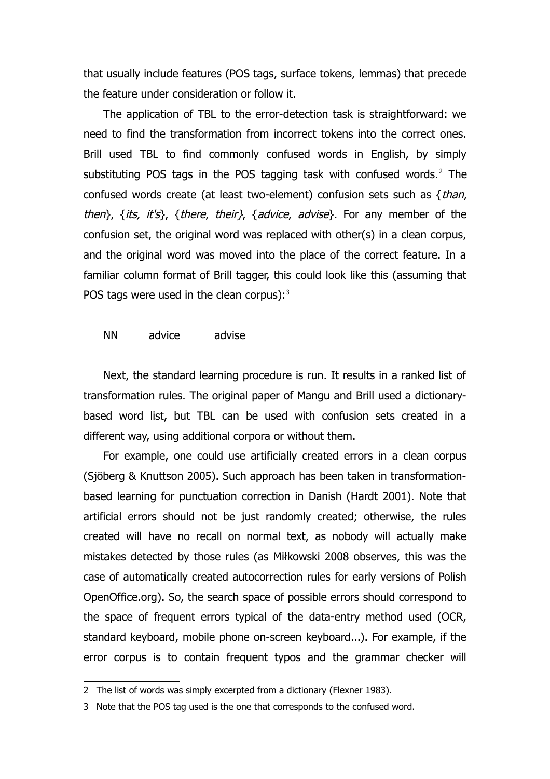that usually include features (POS tags, surface tokens, lemmas) that precede the feature under consideration or follow it.

The application of TBL to the error-detection task is straightforward: we need to find the transformation from incorrect tokens into the correct ones. Brill used TBL to find commonly confused words in English, by simply substituting POS tags in the POS tagging task with confused words. $2$  The confused words create (at least two-element) confusion sets such as {than, then $\}$ , {its, it's}, {there, their}, {advice, advise}. For any member of the confusion set, the original word was replaced with other(s) in a clean corpus, and the original word was moved into the place of the correct feature. In a familiar column format of Brill tagger, this could look like this (assuming that POS tags were used in the clean corpus): $3$ 

#### NN advice advise

Next, the standard learning procedure is run. It results in a ranked list of transformation rules. The original paper of Mangu and Brill used a dictionarybased word list, but TBL can be used with confusion sets created in a different way, using additional corpora or without them.

For example, one could use artificially created errors in a clean corpus (Sjöberg & Knuttson 2005). Such approach has been taken in transformationbased learning for punctuation correction in Danish (Hardt 2001). Note that artificial errors should not be just randomly created; otherwise, the rules created will have no recall on normal text, as nobody will actually make mistakes detected by those rules (as Miłkowski 2008 observes, this was the case of automatically created autocorrection rules for early versions of Polish OpenOffice.org). So, the search space of possible errors should correspond to the space of frequent errors typical of the data-entry method used (OCR, standard keyboard, mobile phone on-screen keyboard...). For example, if the error corpus is to contain frequent typos and the grammar checker will

<span id="page-4-0"></span><sup>2</sup> The list of words was simply excerpted from a dictionary (Flexner 1983).

<span id="page-4-1"></span><sup>3</sup> Note that the POS tag used is the one that corresponds to the confused word.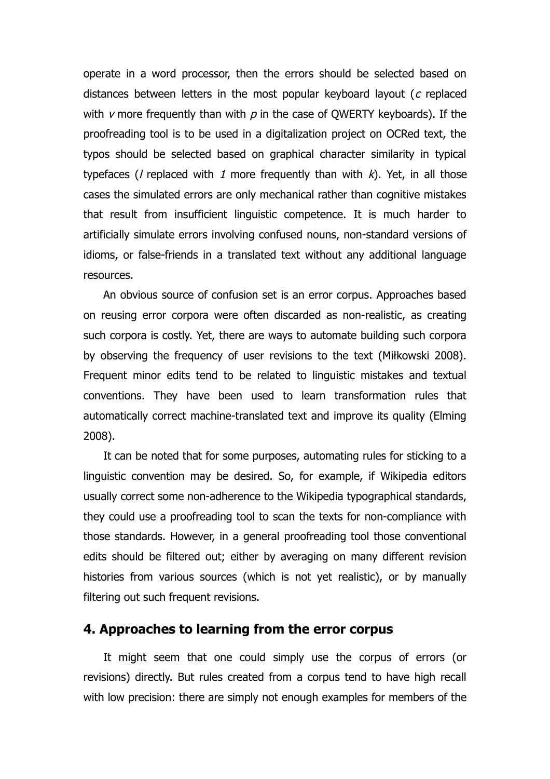operate in a word processor, then the errors should be selected based on distances between letters in the most popular keyboard layout (c replaced with  $\nu$  more frequently than with  $\rho$  in the case of QWERTY keyboards). If the proofreading tool is to be used in a digitalization project on OCRed text, the typos should be selected based on graphical character similarity in typical typefaces (*l* replaced with 1 more frequently than with  $k$ ). Yet, in all those cases the simulated errors are only mechanical rather than cognitive mistakes that result from insufficient linguistic competence. It is much harder to artificially simulate errors involving confused nouns, non-standard versions of idioms, or false-friends in a translated text without any additional language resources.

An obvious source of confusion set is an error corpus. Approaches based on reusing error corpora were often discarded as non-realistic, as creating such corpora is costly. Yet, there are ways to automate building such corpora by observing the frequency of user revisions to the text (Miłkowski 2008). Frequent minor edits tend to be related to linguistic mistakes and textual conventions. They have been used to learn transformation rules that automatically correct machine-translated text and improve its quality (Elming 2008).

It can be noted that for some purposes, automating rules for sticking to a linguistic convention may be desired. So, for example, if Wikipedia editors usually correct some non-adherence to the Wikipedia typographical standards, they could use a proofreading tool to scan the texts for non-compliance with those standards. However, in a general proofreading tool those conventional edits should be filtered out; either by averaging on many different revision histories from various sources (which is not yet realistic), or by manually filtering out such frequent revisions.

#### **4. Approaches to learning from the error corpus**

It might seem that one could simply use the corpus of errors (or revisions) directly. But rules created from a corpus tend to have high recall with low precision: there are simply not enough examples for members of the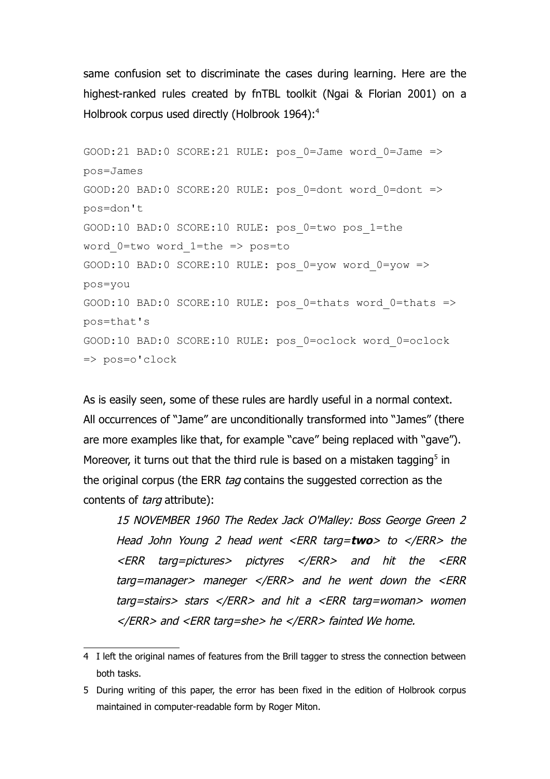same confusion set to discriminate the cases during learning. Here are the highest-ranked rules created by fnTBL toolkit (Ngai & Florian 2001) on a Holbrook corpus used directly (Holbrook 196[4](#page-6-0)):<sup>4</sup>

```
GOOD:21 BAD:0 SCORE:21 RULE: pos_0=Jame word_0=Jame =>
pos=James
GOOD:20 BAD:0 SCORE:20 RULE: pos_0=dont word_0=dont =>
pos=don't
GOOD:10 BAD:0 SCORE:10 RULE: pos_0=two pos_1=the
word 0=two word 1=the => pos=to
GOOD:10 BAD:0 SCORE:10 RULE: pos_0=yow word_0=yow =>
pos=you
GOOD:10 BAD:0 SCORE:10 RULE: pos 0=thats word 0=thats =>
pos=that's
GOOD:10 BAD:0 SCORE:10 RULE: pos_0=oclock word_0=oclock
=> pos=o'clock
```
As is easily seen, some of these rules are hardly useful in a normal context. All occurrences of "Jame" are unconditionally transformed into "James" (there are more examples like that, for example "cave" being replaced with "gave"). Moreover, it turns out that the third rule is based on a mistaken tagging $5$  in the original corpus (the ERR *tag* contains the suggested correction as the contents of *targ* attribute):

15 NOVEMBER 1960 The Redex Jack O'Malley: Boss George Green 2 Head John Young 2 head went <ERR targ=**two**> to </ERR> the <ERR targ=pictures> pictyres </ERR> and hit the <ERR targ=manager> maneger </ERR> and he went down the <ERR targ=stairs> stars </ERR> and hit a <ERR targ=woman> women </ERR> and <ERR targ=she> he </ERR> fainted We home.

<span id="page-6-0"></span><sup>4</sup> I left the original names of features from the Brill tagger to stress the connection between both tasks.

<span id="page-6-1"></span><sup>5</sup> During writing of this paper, the error has been fixed in the edition of Holbrook corpus maintained in computer-readable form by Roger Miton.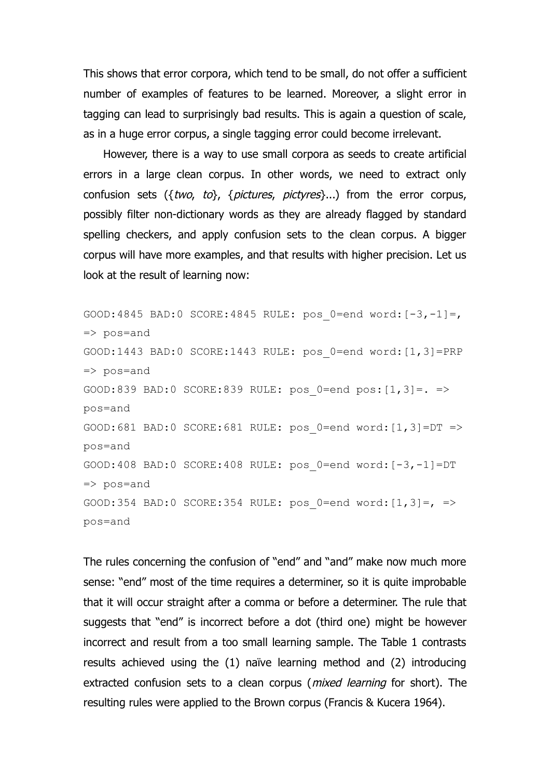This shows that error corpora, which tend to be small, do not offer a sufficient number of examples of features to be learned. Moreover, a slight error in tagging can lead to surprisingly bad results. This is again a question of scale, as in a huge error corpus, a single tagging error could become irrelevant.

However, there is a way to use small corpora as seeds to create artificial errors in a large clean corpus. In other words, we need to extract only confusion sets  $({wo, to}, {poctures, pictures}).$  from the error corpus, possibly filter non-dictionary words as they are already flagged by standard spelling checkers, and apply confusion sets to the clean corpus. A bigger corpus will have more examples, and that results with higher precision. Let us look at the result of learning now:

GOOD:4845 BAD:0 SCORE:4845 RULE: pos  $0=$ end word: $[-3,-1]=$ , => pos=and GOOD:1443 BAD:0 SCORE:1443 RULE: pos\_0=end word:[1,3]=PRP => pos=and GOOD:839 BAD:0 SCORE:839 RULE: pos 0=end pos: $[1,3]=.$  => pos=and GOOD:681 BAD:0 SCORE:681 RULE: pos\_0=end word:[1,3]=DT => pos=and GOOD:408 BAD:0 SCORE:408 RULE: pos\_0=end word:[-3,-1]=DT  $\Rightarrow$  pos=and GOOD:354 BAD:0 SCORE:354 RULE: pos 0=end word: $[1,3]=,$  => pos=and

The rules concerning the confusion of "end" and "and" make now much more sense: "end" most of the time requires a determiner, so it is quite improbable that it will occur straight after a comma or before a determiner. The rule that suggests that "end" is incorrect before a dot (third one) might be however incorrect and result from a too small learning sample. The Table 1 contrasts results achieved using the (1) naïve learning method and (2) introducing extracted confusion sets to a clean corpus (*mixed learning* for short). The resulting rules were applied to the Brown corpus (Francis & Kucera 1964).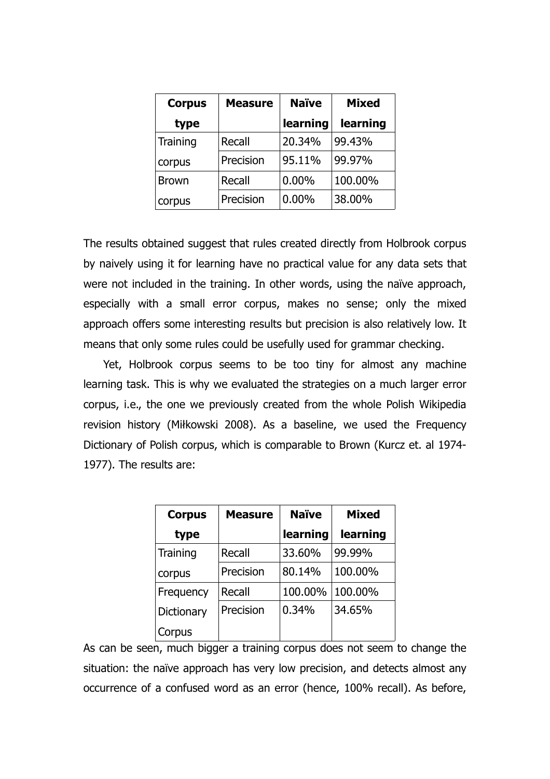| <b>Corpus</b> | <b>Measure</b> | <b>Naïve</b> | <b>Mixed</b> |
|---------------|----------------|--------------|--------------|
| type          |                | learning     | learning     |
| Training      | Recall         | 20.34%       | 99.43%       |
| corpus        | Precision      | 95.11%       | 99.97%       |
| <b>Brown</b>  | <b>Recall</b>  | $0.00\%$     | 100.00%      |
| corpus        | Precision      | $0.00\%$     | 38.00%       |

The results obtained suggest that rules created directly from Holbrook corpus by naively using it for learning have no practical value for any data sets that were not included in the training. In other words, using the naïve approach, especially with a small error corpus, makes no sense; only the mixed approach offers some interesting results but precision is also relatively low. It means that only some rules could be usefully used for grammar checking.

Yet, Holbrook corpus seems to be too tiny for almost any machine learning task. This is why we evaluated the strategies on a much larger error corpus, i.e., the one we previously created from the whole Polish Wikipedia revision history (Miłkowski 2008). As a baseline, we used the Frequency Dictionary of Polish corpus, which is comparable to Brown (Kurcz et. al 1974- 1977). The results are:

| <b>Corpus</b>   | <b>Measure</b> | <b>Naïve</b> | <b>Mixed</b> |
|-----------------|----------------|--------------|--------------|
| type            |                | learning     | learning     |
| <b>Training</b> | Recall         | 33.60%       | 99.99%       |
| corpus          | Precision      | 80.14%       | 100.00%      |
| Frequency       | Recall         | 100.00%      | 100.00%      |
| Dictionary      | Precision      | 0.34%        | 34.65%       |
| Corpus          |                |              |              |

As can be seen, much bigger a training corpus does not seem to change the situation: the naïve approach has very low precision, and detects almost any occurrence of a confused word as an error (hence, 100% recall). As before,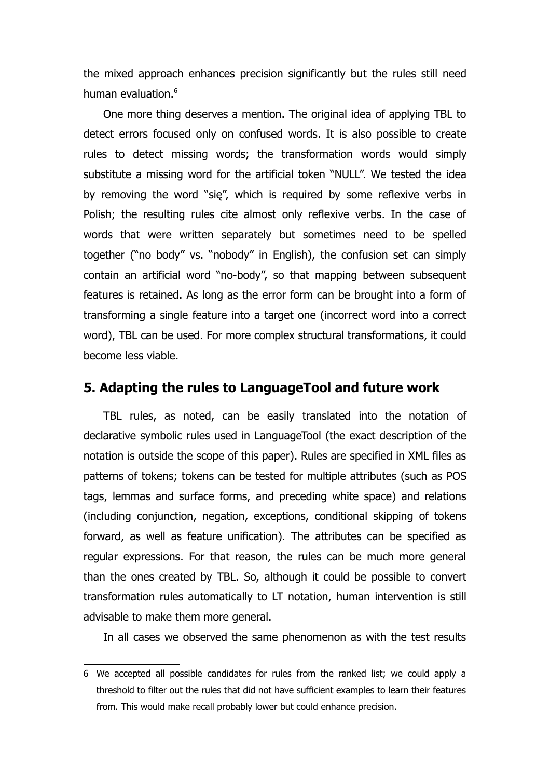the mixed approach enhances precision significantly but the rules still need human evaluation.<sup>[6](#page-9-0)</sup>

One more thing deserves a mention. The original idea of applying TBL to detect errors focused only on confused words. It is also possible to create rules to detect missing words; the transformation words would simply substitute a missing word for the artificial token "NULL". We tested the idea by removing the word "się", which is required by some reflexive verbs in Polish; the resulting rules cite almost only reflexive verbs. In the case of words that were written separately but sometimes need to be spelled together ("no body" vs. "nobody" in English), the confusion set can simply contain an artificial word "no-body", so that mapping between subsequent features is retained. As long as the error form can be brought into a form of transforming a single feature into a target one (incorrect word into a correct word), TBL can be used. For more complex structural transformations, it could become less viable.

## **5. Adapting the rules to LanguageTool and future work**

TBL rules, as noted, can be easily translated into the notation of declarative symbolic rules used in LanguageTool (the exact description of the notation is outside the scope of this paper). Rules are specified in XML files as patterns of tokens; tokens can be tested for multiple attributes (such as POS tags, lemmas and surface forms, and preceding white space) and relations (including conjunction, negation, exceptions, conditional skipping of tokens forward, as well as feature unification). The attributes can be specified as regular expressions. For that reason, the rules can be much more general than the ones created by TBL. So, although it could be possible to convert transformation rules automatically to LT notation, human intervention is still advisable to make them more general.

In all cases we observed the same phenomenon as with the test results

<span id="page-9-0"></span><sup>6</sup> We accepted all possible candidates for rules from the ranked list; we could apply a threshold to filter out the rules that did not have sufficient examples to learn their features from. This would make recall probably lower but could enhance precision.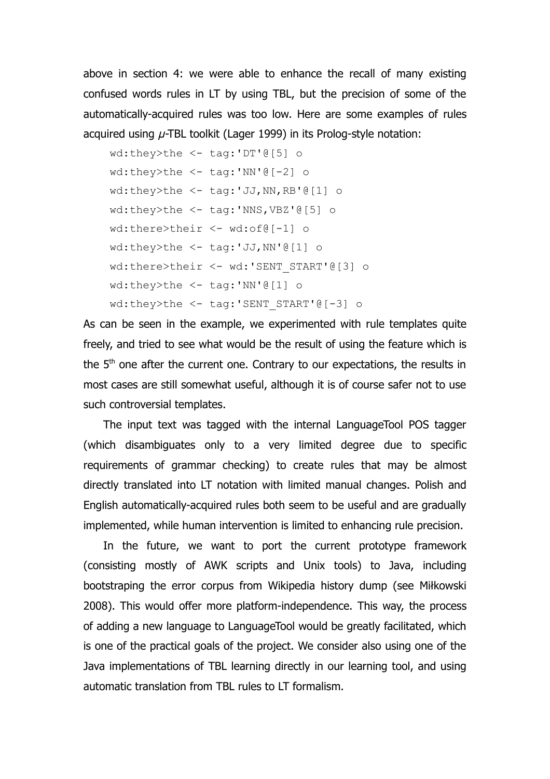above in section 4: we were able to enhance the recall of many existing confused words rules in LT by using TBL, but the precision of some of the automatically-acquired rules was too low. Here are some examples of rules acquired using  $\mu$ -TBL toolkit (Lager 1999) in its Prolog-style notation:

```
wd:they>the <- tag:'DT'@[5] o
wd:they>the <- tag:'NN'@[-2] o
wd:they>the <- tag:'JJ,NN,RB'@[1] o
wd:they>the <- tag:'NNS,VBZ'@[5] o
wd:there>their <- wd:of@[-1] o
wd:they>the <- tag:'JJ,NN'@[1] o
wd:there>their <- wd:'SENT_START'@[3] o
wd:they>the <- tag:'NN'@[1] o
wd:they>the <- tag:'SENT START'@[-3] o
```
As can be seen in the example, we experimented with rule templates quite freely, and tried to see what would be the result of using the feature which is the 5<sup>th</sup> one after the current one. Contrary to our expectations, the results in most cases are still somewhat useful, although it is of course safer not to use such controversial templates.

The input text was tagged with the internal LanguageTool POS tagger (which disambiguates only to a very limited degree due to specific requirements of grammar checking) to create rules that may be almost directly translated into LT notation with limited manual changes. Polish and English automatically-acquired rules both seem to be useful and are gradually implemented, while human intervention is limited to enhancing rule precision.

In the future, we want to port the current prototype framework (consisting mostly of AWK scripts and Unix tools) to Java, including bootstraping the error corpus from Wikipedia history dump (see Miłkowski 2008). This would offer more platform-independence. This way, the process of adding a new language to LanguageTool would be greatly facilitated, which is one of the practical goals of the project. We consider also using one of the Java implementations of TBL learning directly in our learning tool, and using automatic translation from TBL rules to LT formalism.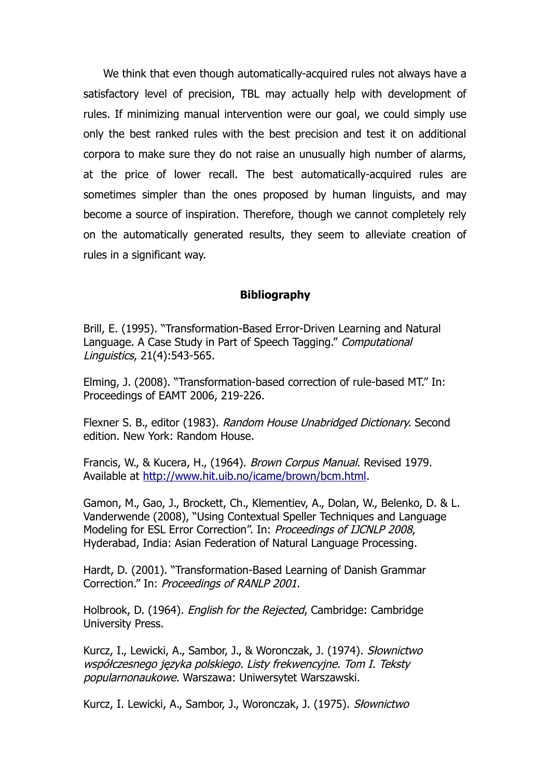We think that even though automatically-acquired rules not always have a satisfactory level of precision, TBL may actually help with development of rules. If minimizing manual intervention were our goal, we could simply use only the best ranked rules with the best precision and test it on additional corpora to make sure they do not raise an unusually high number of alarms, at the price of lower recall. The best automatically-acquired rules are sometimes simpler than the ones proposed by human linguists, and may become a source of inspiration. Therefore, though we cannot completely rely on the automatically generated results, they seem to alleviate creation of rules in a significant way.

#### **Bibliography**

Brill, E. (1995). "Transformation-Based Error-Driven Learning and Natural Language. A Case Study in Part of Speech Tagging." Computational Linguistics, 21(4):543-565.

Elming, J. (2008). "Transformation-based correction of rule-based MT." In: Proceedings of EAMT 2006, 219-226.

Flexner S. B., editor (1983). Random House Unabridged Dictionary. Second edition. New York: Random House.

Francis, W., & Kucera, H., (1964). Brown Corpus Manual. Revised 1979. Available at [http://www.hit.uib.no/icame/brown/bcm.html.](http://www.hit.uib.no/icame/brown/bcm.html)

Gamon, M., Gao, J., Brockett, Ch., Klementiev, A., Dolan, W., Belenko, D. & L. Vanderwende (2008), "Using Contextual Speller Techniques and Language Modeling for ESL Error Correction". In: Proceedings of IJCNLP 2008, Hyderabad, India: Asian Federation of Natural Language Processing.

Hardt, D. (2001). "Transformation-Based Learning of Danish Grammar Correction." In: Proceedings of RANLP 2001.

Holbrook, D. (1964). English for the Rejected, Cambridge: Cambridge University Press.

Kurcz, I., Lewicki, A., Sambor, J., & Woronczak, J. (1974). Słownictwo współczesnego języka polskiego. Listy frekwencyjne. Tom I. Teksty popularnonaukowe. Warszawa: Uniwersytet Warszawski.

Kurcz, I. Lewicki, A., Sambor, J., Woronczak, J. (1975). Słownictwo